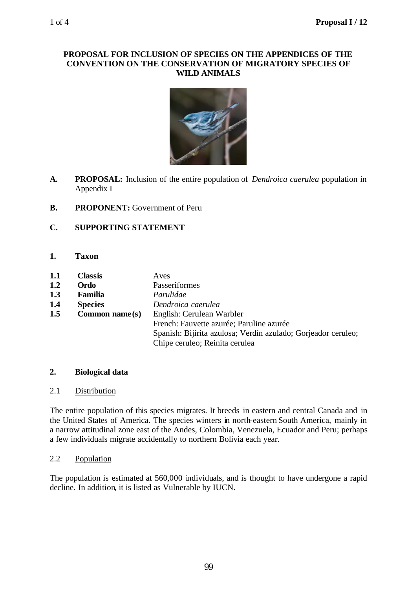#### **PROPOSAL FOR INCLUSION OF SPECIES ON THE APPENDICES OF THE CONVENTION ON THE CONSERVATION OF MIGRATORY SPECIES OF WILD ANIMALS**



- **A. PROPOSAL:** Inclusion of the entire population of *Dendroica caerulea* population in Appendix I
- **B. PROPONENT:** Government of Peru

# **C. SUPPORTING STATEMENT**

- **1. Taxon**
- **1.1 Classis** Aves **1.2 Ordo** Passeriformes **1.3 Familia** *Parulidae* **1.4 Species** *Dendroica caerulea* **1.5 Common name(s)** English: Cerulean Warbler French: Fauvette azurée; Paruline azurée Spanish: Bijirita azulosa; Verdín azulado; Gorjeador ceruleo; Chipe ceruleo; Reinita cerulea

# **2. Biological data**

### 2.1 Distribution

The entire population of this species migrates. It breeds in eastern and central Canada and in the United States of America. The species winters in north-eastern South America, mainly in a narrow attitudinal zone east of the Andes, Colombia, Venezuela, Ecuador and Peru; perhaps a few individuals migrate accidentally to northern Bolivia each year.

# 2.2 Population

The population is estimated at 560,000 individuals, and is thought to have undergone a rapid decline. In addition, it is listed as Vulnerable by IUCN.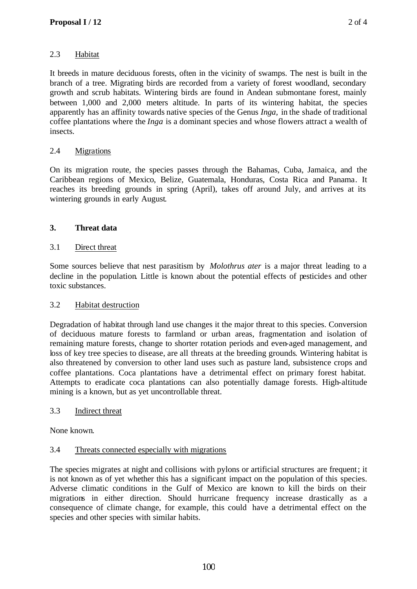# 2.3 Habitat

It breeds in mature deciduous forests, often in the vicinity of swamps. The nest is built in the branch of a tree. Migrating birds are recorded from a variety of forest woodland, secondary growth and scrub habitats. Wintering birds are found in Andean submontane forest, mainly between 1,000 and 2,000 meters altitude. In parts of its wintering habitat, the species apparently has an affinity towards native species of the Genus *Inga,* in the shade of traditional coffee plantations where the *Inga* is a dominant species and whose flowers attract a wealth of insects.

## 2.4 Migrations

On its migration route, the species passes through the Bahamas, Cuba, Jamaica, and the Caribbean regions of Mexico, Belize, Guatemala, Honduras, Costa Rica and Panama. It reaches its breeding grounds in spring (April), takes off around July, and arrives at its wintering grounds in early August.

## **3. Threat data**

### 3.1 Direct threat

Some sources believe that nest parasitism by *Molothrus ater* is a major threat leading to a decline in the population. Little is known about the potential effects of pesticides and other toxic substances.

### 3.2 Habitat destruction

Degradation of habitat through land use changes it the major threat to this species. Conversion of deciduous mature forests to farmland or urban areas, fragmentation and isolation of remaining mature forests, change to shorter rotation periods and even-aged management, and loss of key tree species to disease, are all threats at the breeding grounds. Wintering habitat is also threatened by conversion to other land uses such as pasture land, subsistence crops and coffee plantations. Coca plantations have a detrimental effect on primary forest habitat. Attempts to eradicate coca plantations can also potentially damage forests. High-altitude mining is a known, but as yet uncontrollable threat.

### 3.3 Indirect threat

None known.

### 3.4 Threats connected especially with migrations

The species migrates at night and collisions with pylons or artificial structures are frequent; it is not known as of yet whether this has a significant impact on the population of this species. Adverse climatic conditions in the Gulf of Mexico are known to kill the birds on their migrations in either direction. Should hurricane frequency increase drastically as a consequence of climate change, for example, this could have a detrimental effect on the species and other species with similar habits.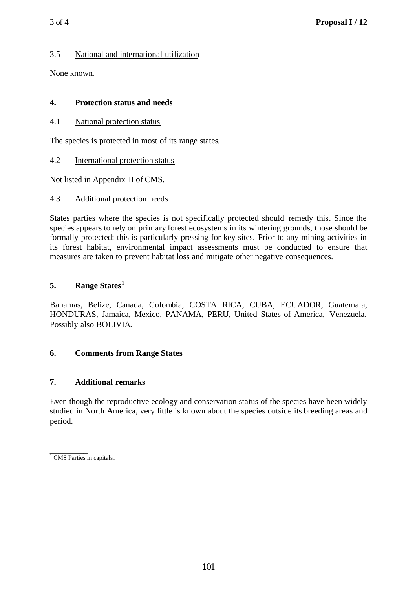## 3.5 National and international utilization

None known.

### **4. Protection status and needs**

4.1 National protection status

The species is protected in most of its range states.

4.2 International protection status

Not listed in Appendix II of CMS.

## 4.3 Additional protection needs

States parties where the species is not specifically protected should remedy this. Since the species appears to rely on primary forest ecosystems in its wintering grounds, those should be formally protected: this is particularly pressing for key sites. Prior to any mining activities in its forest habitat, environmental impact assessments must be conducted to ensure that measures are taken to prevent habitat loss and mitigate other negative consequences.

## **5.** Range States<sup>1</sup>

Bahamas, Belize, Canada, Colombia, COSTA RICA, CUBA, ECUADOR, Guatemala, HONDURAS, Jamaica, Mexico, PANAMA, PERU, United States of America, Venezuela. Possibly also BOLIVIA.

# **6. Comments from Range States**

# **7. Additional remarks**

Even though the reproductive ecology and conservation status of the species have been widely studied in North America, very little is known about the species outside its breeding areas and period.

 $\frac{1}{1}$  CMS Parties in capitals.